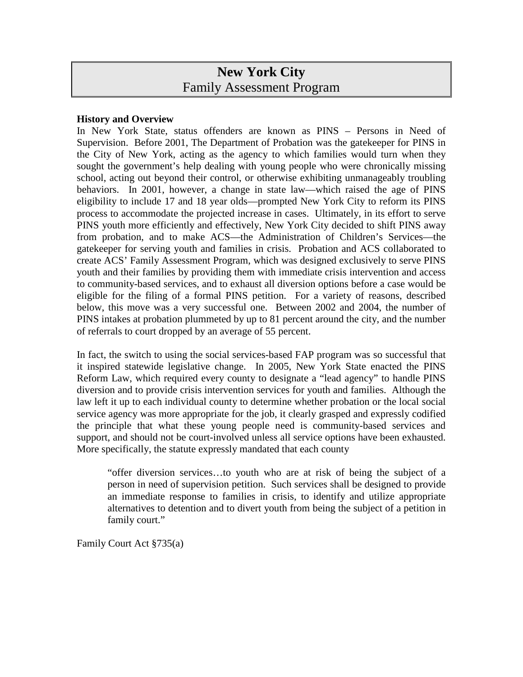# **New York City** Family Assessment Program

#### **History and Overview**

In New York State, status offenders are known as PINS – Persons in Need of Supervision. Before 2001, The Department of Probation was the gatekeeper for PINS in the City of New York, acting as the agency to which families would turn when they sought the government's help dealing with young people who were chronically missing school, acting out beyond their control, or otherwise exhibiting unmanageably troubling behaviors. In 2001, however, a change in state law—which raised the age of PINS eligibility to include 17 and 18 year olds—prompted New York City to reform its PINS process to accommodate the projected increase in cases. Ultimately, in its effort to serve PINS youth more efficiently and effectively, New York City decided to shift PINS away from probation, and to make ACS—the Administration of Children's Services—the gatekeeper for serving youth and families in crisis. Probation and ACS collaborated to create ACS' Family Assessment Program, which was designed exclusively to serve PINS youth and their families by providing them with immediate crisis intervention and access to community-based services, and to exhaust all diversion options before a case would be eligible for the filing of a formal PINS petition. For a variety of reasons, described below, this move was a very successful one. Between 2002 and 2004, the number of PINS intakes at probation plummeted by up to 81 percent around the city, and the number of referrals to court dropped by an average of 55 percent.

In fact, the switch to using the social services-based FAP program was so successful that it inspired statewide legislative change. In 2005, New York State enacted the PINS Reform Law, which required every county to designate a "lead agency" to handle PINS diversion and to provide crisis intervention services for youth and families. Although the law left it up to each individual county to determine whether probation or the local social service agency was more appropriate for the job, it clearly grasped and expressly codified the principle that what these young people need is community-based services and support, and should not be court-involved unless all service options have been exhausted. More specifically, the statute expressly mandated that each county

"offer diversion services…to youth who are at risk of being the subject of a person in need of supervision petition. Such services shall be designed to provide an immediate response to families in crisis, to identify and utilize appropriate alternatives to detention and to divert youth from being the subject of a petition in family court."

Family Court Act §735(a)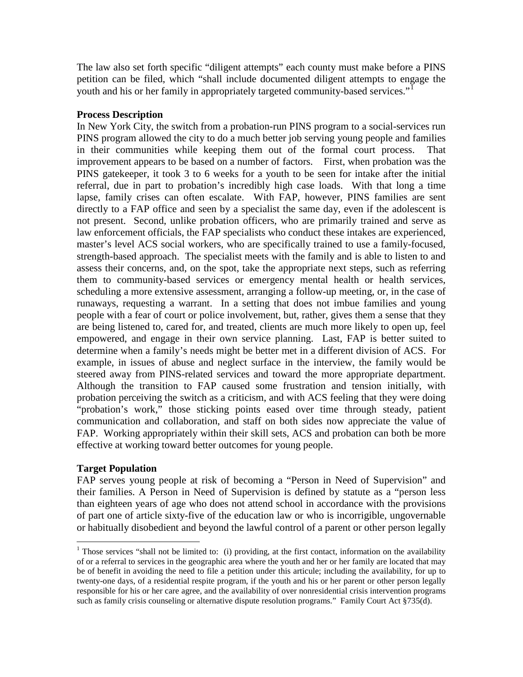The law also set forth specific "diligent attempts" each county must make before a PINS petition can be filed, which "shall include documented diligent attempts to engage the youth and his or her family in appropriately targeted community-based services."<sup>[1](#page-1-0)</sup>

## **Process Description**

In New York City, the switch from a probation-run PINS program to a social-services run PINS program allowed the city to do a much better job serving young people and families in their communities while keeping them out of the formal court process. That improvement appears to be based on a number of factors. First, when probation was the PINS gatekeeper, it took 3 to 6 weeks for a youth to be seen for intake after the initial referral, due in part to probation's incredibly high case loads. With that long a time lapse, family crises can often escalate. With FAP, however, PINS families are sent directly to a FAP office and seen by a specialist the same day, even if the adolescent is not present. Second, unlike probation officers, who are primarily trained and serve as law enforcement officials, the FAP specialists who conduct these intakes are experienced, master's level ACS social workers, who are specifically trained to use a family-focused, strength-based approach. The specialist meets with the family and is able to listen to and assess their concerns, and, on the spot, take the appropriate next steps, such as referring them to community-based services or emergency mental health or health services, scheduling a more extensive assessment, arranging a follow-up meeting, or, in the case of runaways, requesting a warrant. In a setting that does not imbue families and young people with a fear of court or police involvement, but, rather, gives them a sense that they are being listened to, cared for, and treated, clients are much more likely to open up, feel empowered, and engage in their own service planning. Last, FAP is better suited to determine when a family's needs might be better met in a different division of ACS. For example, in issues of abuse and neglect surface in the interview, the family would be steered away from PINS-related services and toward the more appropriate department. Although the transition to FAP caused some frustration and tension initially, with probation perceiving the switch as a criticism, and with ACS feeling that they were doing "probation's work," those sticking points eased over time through steady, patient communication and collaboration, and staff on both sides now appreciate the value of FAP. Working appropriately within their skill sets, ACS and probation can both be more effective at working toward better outcomes for young people.

## **Target Population**

FAP serves young people at risk of becoming a "Person in Need of Supervision" and their families. A Person in Need of Supervision is defined by statute as a "person less than eighteen years of age who does not attend school in accordance with the provisions of part one of article sixty-five of the education law or who is incorrigible, ungovernable or habitually disobedient and beyond the lawful control of a parent or other person legally

<span id="page-1-0"></span><sup>&</sup>lt;sup>1</sup> Those services "shall not be limited to: (i) providing, at the first contact, information on the availability of or a referral to services in the geographic area where the youth and her or her family are located that may be of benefit in avoiding the need to file a petition under this articule; including the availability, for up to twenty-one days, of a residential respite program, if the youth and his or her parent or other person legally responsible for his or her care agree, and the availability of over nonresidential crisis intervention programs such as family crisis counseling or alternative dispute resolution programs." Family Court Act §735(d).